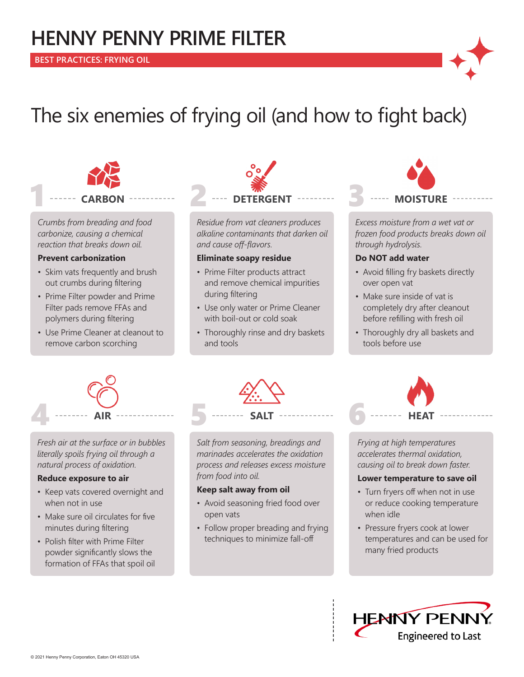## **HENNY PENNY PRIME FILTER**



# The six enemies of frying oil (and how to fight back)



*Crumbs from breading and food carbonize, causing a chemical reaction that breaks down oil.*

#### **Prevent carbonization**

- Skim vats frequently and brush out crumbs during filtering
- Prime Filter powder and Prime Filter pads remove FFAs and polymers during filtering
- Use Prime Cleaner at cleanout to remove carbon scorching



*Residue from vat cleaners produces alkaline contaminants that darken oil and cause off-flavors.*

#### **Eliminate soapy residue**

- Prime Filter products attract and remove chemical impurities during filtering
- Use only water or Prime Cleaner with boil-out or cold soak
- Thoroughly rinse and dry baskets and tools



*Excess moisture from a wet vat or frozen food products breaks down oil through hydrolysis.*

### **Do NOT add water**

- Avoid filling fry baskets directly over open vat
- Make sure inside of vat is completely dry after cleanout before refilling with fresh oil
- Thoroughly dry all baskets and tools before use



*Fresh air at the surface or in bubbles literally spoils frying oil through a natural process of oxidation.* 

#### **Reduce exposure to air**

- Keep vats covered overnight and when not in use
- Make sure oil circulates for five minutes during filtering
- Polish filter with Prime Filter powder significantly slows the formation of FFAs that spoil oil

*Salt from seasoning, breadings and marinades accelerates the oxidation process and releases excess moisture from food into oil.*

#### **Keep salt away from oil**

- Avoid seasoning fried food over open vats
- Follow proper breading and frying techniques to minimize fall-off

*Frying at high temperatures accelerates thermal oxidation, causing oil to break down faster.* 

#### **Lower temperature to save oil**

- Turn fryers off when not in use or reduce cooking temperature when idle
- Pressure fryers cook at lower temperatures and can be used for many fried products